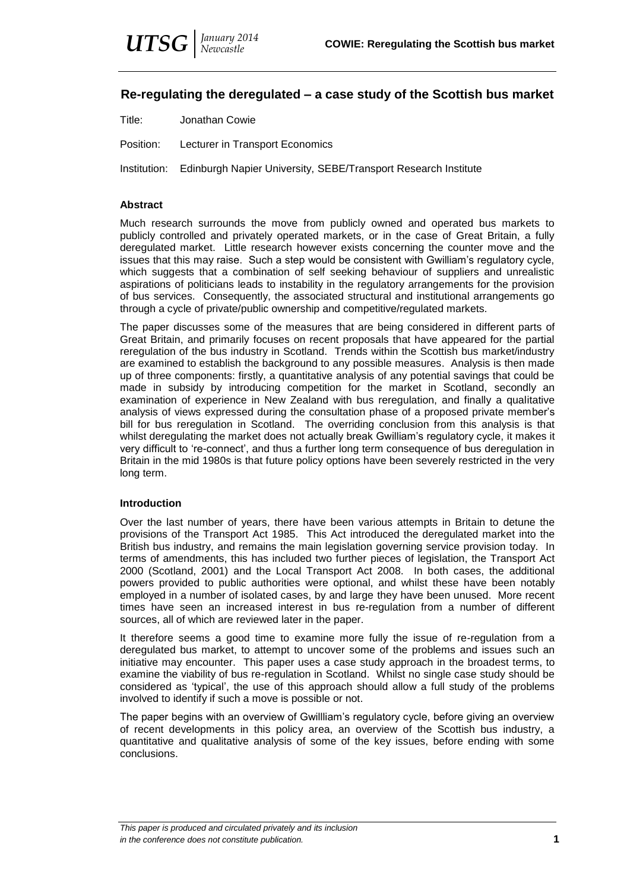# **Re-regulating the deregulated – a case study of the Scottish bus market**

Title: Jonathan Cowie

Position: Lecturer in Transport Economics

Institution: Edinburgh Napier University, SEBE/Transport Research Institute

## **Abstract**

Much research surrounds the move from publicly owned and operated bus markets to publicly controlled and privately operated markets, or in the case of Great Britain, a fully deregulated market. Little research however exists concerning the counter move and the issues that this may raise. Such a step would be consistent with Gwilliam's regulatory cycle, which suggests that a combination of self seeking behaviour of suppliers and unrealistic aspirations of politicians leads to instability in the regulatory arrangements for the provision of bus services. Consequently, the associated structural and institutional arrangements go through a cycle of private/public ownership and competitive/regulated markets.

The paper discusses some of the measures that are being considered in different parts of Great Britain, and primarily focuses on recent proposals that have appeared for the partial reregulation of the bus industry in Scotland. Trends within the Scottish bus market/industry are examined to establish the background to any possible measures. Analysis is then made up of three components: firstly, a quantitative analysis of any potential savings that could be made in subsidy by introducing competition for the market in Scotland, secondly an examination of experience in New Zealand with bus reregulation, and finally a qualitative analysis of views expressed during the consultation phase of a proposed private member's bill for bus reregulation in Scotland. The overriding conclusion from this analysis is that whilst deregulating the market does not actually break Gwilliam's regulatory cycle, it makes it very difficult to 're-connect', and thus a further long term consequence of bus deregulation in Britain in the mid 1980s is that future policy options have been severely restricted in the very long term.

# **Introduction**

Over the last number of years, there have been various attempts in Britain to detune the provisions of the Transport Act 1985. This Act introduced the deregulated market into the British bus industry, and remains the main legislation governing service provision today. In terms of amendments, this has included two further pieces of legislation, the Transport Act 2000 (Scotland, 2001) and the Local Transport Act 2008. In both cases, the additional powers provided to public authorities were optional, and whilst these have been notably employed in a number of isolated cases, by and large they have been unused. More recent times have seen an increased interest in bus re-regulation from a number of different sources, all of which are reviewed later in the paper.

It therefore seems a good time to examine more fully the issue of re-regulation from a deregulated bus market, to attempt to uncover some of the problems and issues such an initiative may encounter. This paper uses a case study approach in the broadest terms, to examine the viability of bus re-regulation in Scotland. Whilst no single case study should be considered as 'typical', the use of this approach should allow a full study of the problems involved to identify if such a move is possible or not.

The paper begins with an overview of Gwillliam's regulatory cycle, before giving an overview of recent developments in this policy area, an overview of the Scottish bus industry, a quantitative and qualitative analysis of some of the key issues, before ending with some conclusions.

*This paper is produced and circulated privately and its inclusion in the conference does not constitute publication.* **1**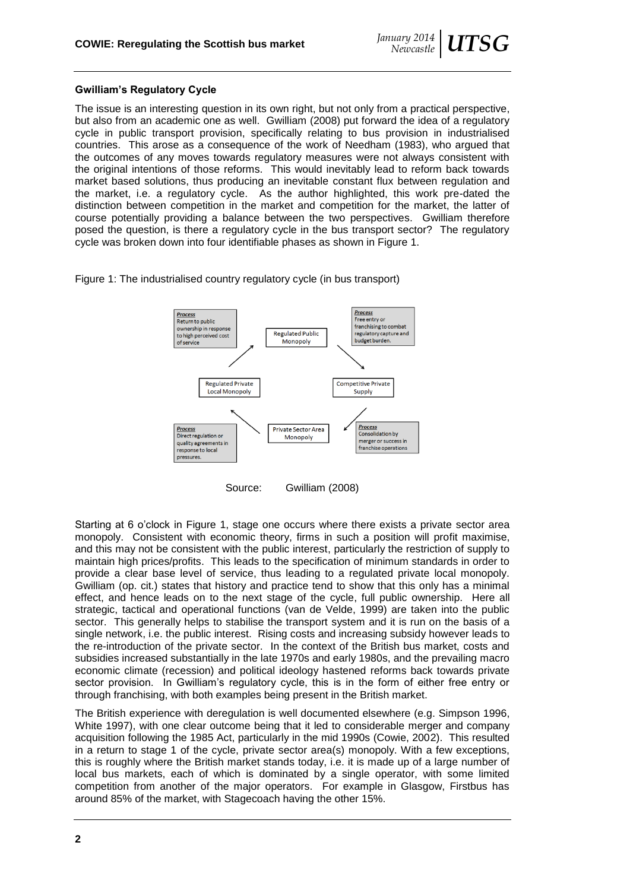## **Gwilliam's Regulatory Cycle**

The issue is an interesting question in its own right, but not only from a practical perspective, but also from an academic one as well. Gwilliam (2008) put forward the idea of a regulatory cycle in public transport provision, specifically relating to bus provision in industrialised countries. This arose as a consequence of the work of Needham (1983), who argued that the outcomes of any moves towards regulatory measures were not always consistent with the original intentions of those reforms. This would inevitably lead to reform back towards market based solutions, thus producing an inevitable constant flux between regulation and the market, i.e. a regulatory cycle. As the author highlighted, this work pre-dated the distinction between competition in the market and competition for the market, the latter of course potentially providing a balance between the two perspectives. Gwilliam therefore posed the question, is there a regulatory cycle in the bus transport sector? The regulatory cycle was broken down into four identifiable phases as shown in Figure 1.

Figure 1: The industrialised country regulatory cycle (in bus transport)



Source: Gwilliam (2008)

Starting at 6 o'clock in Figure 1, stage one occurs where there exists a private sector area monopoly. Consistent with economic theory, firms in such a position will profit maximise, and this may not be consistent with the public interest, particularly the restriction of supply to maintain high prices/profits. This leads to the specification of minimum standards in order to provide a clear base level of service, thus leading to a regulated private local monopoly. Gwilliam (op. cit.) states that history and practice tend to show that this only has a minimal effect, and hence leads on to the next stage of the cycle, full public ownership. Here all strategic, tactical and operational functions (van de Velde, 1999) are taken into the public sector. This generally helps to stabilise the transport system and it is run on the basis of a single network, i.e. the public interest. Rising costs and increasing subsidy however leads to the re-introduction of the private sector. In the context of the British bus market, costs and subsidies increased substantially in the late 1970s and early 1980s, and the prevailing macro economic climate (recession) and political ideology hastened reforms back towards private sector provision. In Gwilliam's regulatory cycle, this is in the form of either free entry or through franchising, with both examples being present in the British market.

The British experience with deregulation is well documented elsewhere (e.g. Simpson 1996, White 1997), with one clear outcome being that it led to considerable merger and company acquisition following the 1985 Act, particularly in the mid 1990s (Cowie, 2002). This resulted in a return to stage 1 of the cycle, private sector area(s) monopoly. With a few exceptions, this is roughly where the British market stands today, i.e. it is made up of a large number of local bus markets, each of which is dominated by a single operator, with some limited competition from another of the major operators. For example in Glasgow, Firstbus has around 85% of the market, with Stagecoach having the other 15%.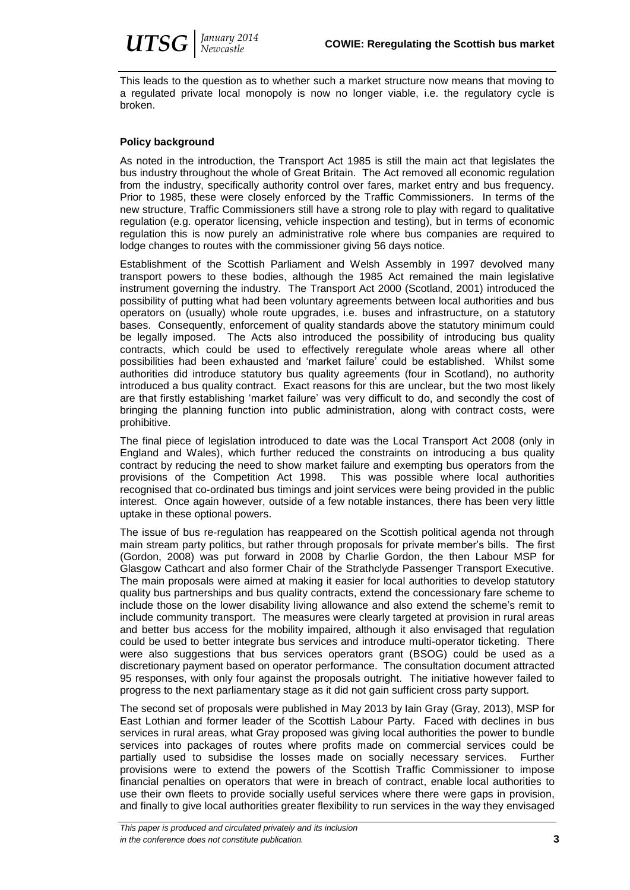

This leads to the question as to whether such a market structure now means that moving to a regulated private local monopoly is now no longer viable, i.e. the regulatory cycle is broken.

## **Policy background**

As noted in the introduction, the Transport Act 1985 is still the main act that legislates the bus industry throughout the whole of Great Britain. The Act removed all economic regulation from the industry, specifically authority control over fares, market entry and bus frequency. Prior to 1985, these were closely enforced by the Traffic Commissioners. In terms of the new structure, Traffic Commissioners still have a strong role to play with regard to qualitative regulation (e.g. operator licensing, vehicle inspection and testing), but in terms of economic regulation this is now purely an administrative role where bus companies are required to lodge changes to routes with the commissioner giving 56 days notice.

Establishment of the Scottish Parliament and Welsh Assembly in 1997 devolved many transport powers to these bodies, although the 1985 Act remained the main legislative instrument governing the industry. The Transport Act 2000 (Scotland, 2001) introduced the possibility of putting what had been voluntary agreements between local authorities and bus operators on (usually) whole route upgrades, i.e. buses and infrastructure, on a statutory bases. Consequently, enforcement of quality standards above the statutory minimum could be legally imposed. The Acts also introduced the possibility of introducing bus quality contracts, which could be used to effectively reregulate whole areas where all other possibilities had been exhausted and 'market failure' could be established. Whilst some authorities did introduce statutory bus quality agreements (four in Scotland), no authority introduced a bus quality contract. Exact reasons for this are unclear, but the two most likely are that firstly establishing 'market failure' was very difficult to do, and secondly the cost of bringing the planning function into public administration, along with contract costs, were prohibitive.

The final piece of legislation introduced to date was the Local Transport Act 2008 (only in England and Wales), which further reduced the constraints on introducing a bus quality contract by reducing the need to show market failure and exempting bus operators from the provisions of the Competition Act 1998. This was possible where local authorities recognised that co-ordinated bus timings and joint services were being provided in the public interest. Once again however, outside of a few notable instances, there has been very little uptake in these optional powers.

The issue of bus re-regulation has reappeared on the Scottish political agenda not through main stream party politics, but rather through proposals for private member's bills. The first (Gordon, 2008) was put forward in 2008 by Charlie Gordon, the then Labour MSP for Glasgow Cathcart and also former Chair of the Strathclyde Passenger Transport Executive. The main proposals were aimed at making it easier for local authorities to develop statutory quality bus partnerships and bus quality contracts, extend the concessionary fare scheme to include those on the lower disability living allowance and also extend the scheme's remit to include community transport. The measures were clearly targeted at provision in rural areas and better bus access for the mobility impaired, although it also envisaged that regulation could be used to better integrate bus services and introduce multi-operator ticketing. There were also suggestions that bus services operators grant (BSOG) could be used as a discretionary payment based on operator performance. The consultation document attracted 95 responses, with only four against the proposals outright. The initiative however failed to progress to the next parliamentary stage as it did not gain sufficient cross party support.

The second set of proposals were published in May 2013 by Iain Gray (Gray, 2013), MSP for East Lothian and former leader of the Scottish Labour Party. Faced with declines in bus services in rural areas, what Gray proposed was giving local authorities the power to bundle services into packages of routes where profits made on commercial services could be partially used to subsidise the losses made on socially necessary services. Further provisions were to extend the powers of the Scottish Traffic Commissioner to impose financial penalties on operators that were in breach of contract, enable local authorities to use their own fleets to provide socially useful services where there were gaps in provision, and finally to give local authorities greater flexibility to run services in the way they envisaged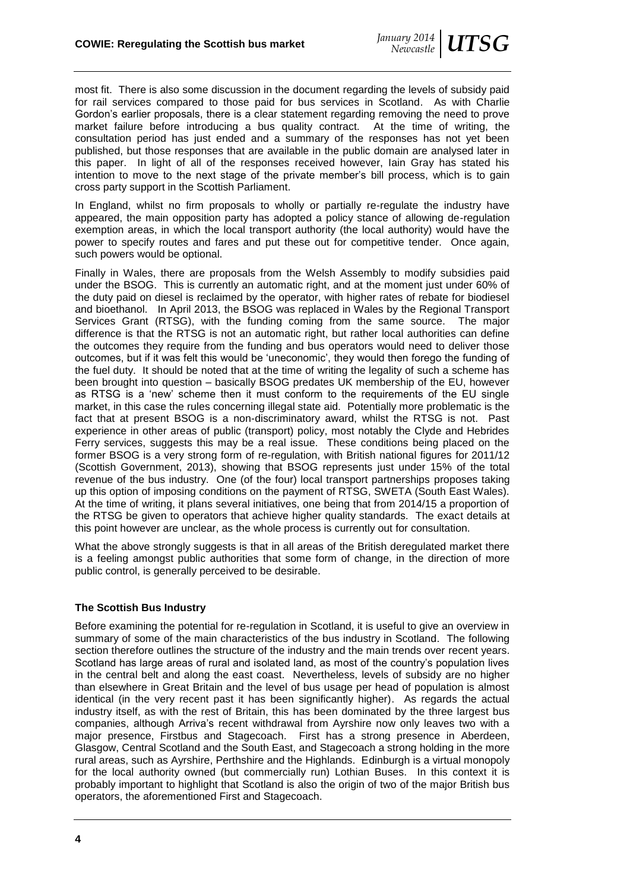most fit. There is also some discussion in the document regarding the levels of subsidy paid for rail services compared to those paid for bus services in Scotland. As with Charlie Gordon's earlier proposals, there is a clear statement regarding removing the need to prove market failure before introducing a bus quality contract. At the time of writing, the consultation period has just ended and a summary of the responses has not yet been published, but those responses that are available in the public domain are analysed later in this paper. In light of all of the responses received however, Iain Gray has stated his intention to move to the next stage of the private member's bill process, which is to gain cross party support in the Scottish Parliament.

In England, whilst no firm proposals to wholly or partially re-regulate the industry have appeared, the main opposition party has adopted a policy stance of allowing de-regulation exemption areas, in which the local transport authority (the local authority) would have the power to specify routes and fares and put these out for competitive tender. Once again, such powers would be optional.

Finally in Wales, there are proposals from the Welsh Assembly to modify subsidies paid under the BSOG. This is currently an automatic right, and at the moment just under 60% of the duty paid on diesel is reclaimed by the operator, with higher rates of rebate for biodiesel and bioethanol. In April 2013, the BSOG was replaced in Wales by the Regional Transport Services Grant (RTSG), with the funding coming from the same source. The major difference is that the RTSG is not an automatic right, but rather local authorities can define the outcomes they require from the funding and bus operators would need to deliver those outcomes, but if it was felt this would be 'uneconomic', they would then forego the funding of the fuel duty. It should be noted that at the time of writing the legality of such a scheme has been brought into question – basically BSOG predates UK membership of the EU, however as RTSG is a 'new' scheme then it must conform to the requirements of the EU single market, in this case the rules concerning illegal state aid. Potentially more problematic is the fact that at present BSOG is a non-discriminatory award, whilst the RTSG is not. Past experience in other areas of public (transport) policy, most notably the Clyde and Hebrides Ferry services, suggests this may be a real issue. These conditions being placed on the former BSOG is a very strong form of re-regulation, with British national figures for 2011/12 (Scottish Government, 2013), showing that BSOG represents just under 15% of the total revenue of the bus industry. One (of the four) local transport partnerships proposes taking up this option of imposing conditions on the payment of RTSG, SWETA (South East Wales). At the time of writing, it plans several initiatives, one being that from 2014/15 a proportion of the RTSG be given to operators that achieve higher quality standards. The exact details at this point however are unclear, as the whole process is currently out for consultation.

What the above strongly suggests is that in all areas of the British deregulated market there is a feeling amongst public authorities that some form of change, in the direction of more public control, is generally perceived to be desirable.

#### **The Scottish Bus Industry**

Before examining the potential for re-regulation in Scotland, it is useful to give an overview in summary of some of the main characteristics of the bus industry in Scotland. The following section therefore outlines the structure of the industry and the main trends over recent years. Scotland has large areas of rural and isolated land, as most of the country's population lives in the central belt and along the east coast. Nevertheless, levels of subsidy are no higher than elsewhere in Great Britain and the level of bus usage per head of population is almost identical (in the very recent past it has been significantly higher). As regards the actual industry itself, as with the rest of Britain, this has been dominated by the three largest bus companies, although Arriva's recent withdrawal from Ayrshire now only leaves two with a major presence, Firstbus and Stagecoach. First has a strong presence in Aberdeen, Glasgow, Central Scotland and the South East, and Stagecoach a strong holding in the more rural areas, such as Ayrshire, Perthshire and the Highlands. Edinburgh is a virtual monopoly for the local authority owned (but commercially run) Lothian Buses. In this context it is probably important to highlight that Scotland is also the origin of two of the major British bus operators, the aforementioned First and Stagecoach.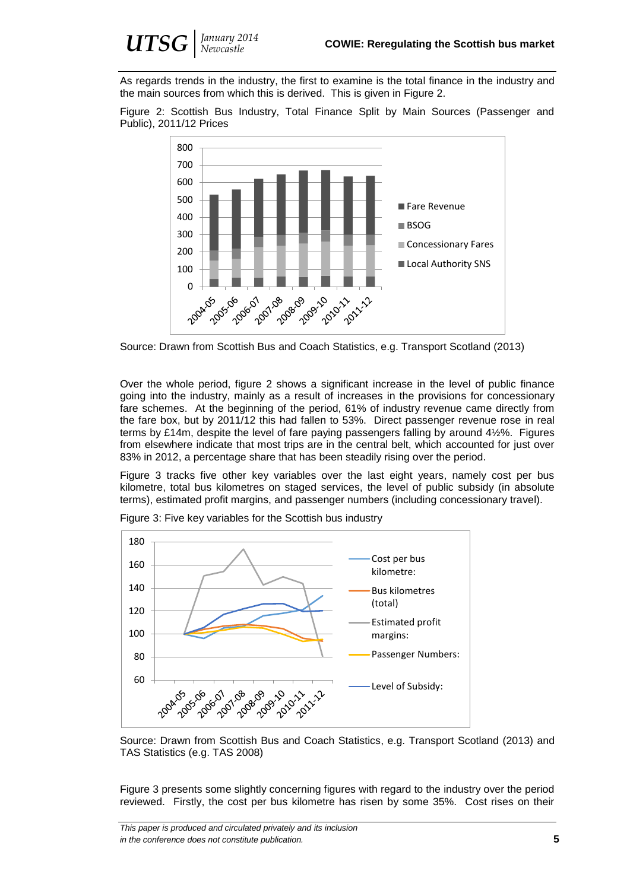As regards trends in the industry, the first to examine is the total finance in the industry and the main sources from which this is derived. This is given in Figure 2.

*UTSG January 2014*

Figure 2: Scottish Bus Industry, Total Finance Split by Main Sources (Passenger and Public), 2011/12 Prices



Source: Drawn from Scottish Bus and Coach Statistics, e.g. Transport Scotland (2013)

Over the whole period, figure 2 shows a significant increase in the level of public finance going into the industry, mainly as a result of increases in the provisions for concessionary fare schemes. At the beginning of the period, 61% of industry revenue came directly from the fare box, but by 2011/12 this had fallen to 53%. Direct passenger revenue rose in real terms by £14m, despite the level of fare paying passengers falling by around 4½%. Figures from elsewhere indicate that most trips are in the central belt, which accounted for just over 83% in 2012, a percentage share that has been steadily rising over the period.

Figure 3 tracks five other key variables over the last eight years, namely cost per bus kilometre, total bus kilometres on staged services, the level of public subsidy (in absolute terms), estimated profit margins, and passenger numbers (including concessionary travel).



Figure 3: Five key variables for the Scottish bus industry

Source: Drawn from Scottish Bus and Coach Statistics, e.g. Transport Scotland (2013) and TAS Statistics (e.g. TAS 2008)

Figure 3 presents some slightly concerning figures with regard to the industry over the period reviewed. Firstly, the cost per bus kilometre has risen by some 35%. Cost rises on their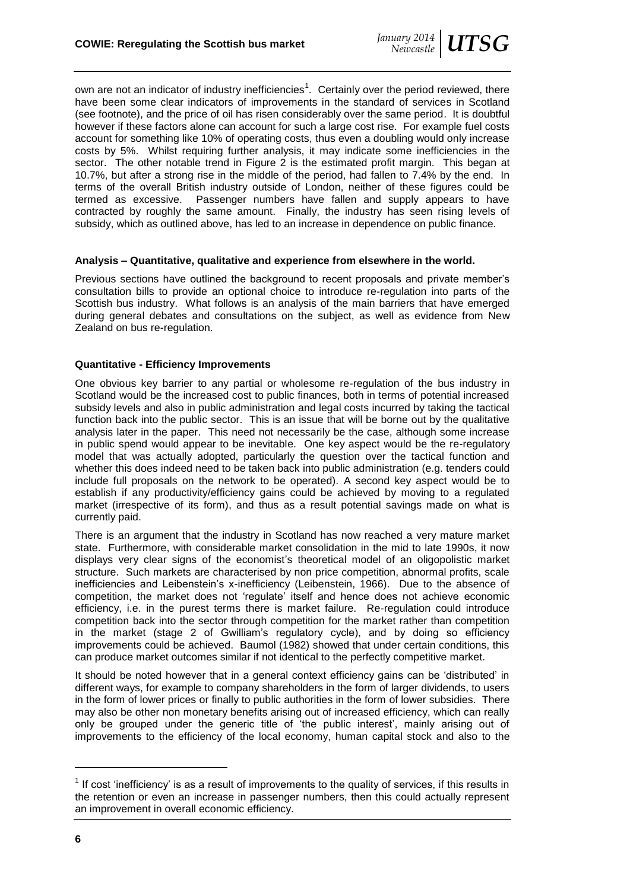own are not an indicator of industry inefficiencies<sup>1</sup>. Certainly over the period reviewed, there have been some clear indicators of improvements in the standard of services in Scotland (see footnote), and the price of oil has risen considerably over the same period. It is doubtful however if these factors alone can account for such a large cost rise. For example fuel costs account for something like 10% of operating costs, thus even a doubling would only increase costs by 5%. Whilst requiring further analysis, it may indicate some inefficiencies in the sector. The other notable trend in Figure 2 is the estimated profit margin. This began at 10.7%, but after a strong rise in the middle of the period, had fallen to 7.4% by the end. In terms of the overall British industry outside of London, neither of these figures could be termed as excessive. Passenger numbers have fallen and supply appears to have contracted by roughly the same amount. Finally, the industry has seen rising levels of subsidy, which as outlined above, has led to an increase in dependence on public finance.

## **Analysis – Quantitative, qualitative and experience from elsewhere in the world.**

Previous sections have outlined the background to recent proposals and private member's consultation bills to provide an optional choice to introduce re-regulation into parts of the Scottish bus industry. What follows is an analysis of the main barriers that have emerged during general debates and consultations on the subject, as well as evidence from New Zealand on bus re-regulation.

#### **Quantitative - Efficiency Improvements**

One obvious key barrier to any partial or wholesome re-regulation of the bus industry in Scotland would be the increased cost to public finances, both in terms of potential increased subsidy levels and also in public administration and legal costs incurred by taking the tactical function back into the public sector. This is an issue that will be borne out by the qualitative analysis later in the paper. This need not necessarily be the case, although some increase in public spend would appear to be inevitable. One key aspect would be the re-regulatory model that was actually adopted, particularly the question over the tactical function and whether this does indeed need to be taken back into public administration (e.g. tenders could include full proposals on the network to be operated). A second key aspect would be to establish if any productivity/efficiency gains could be achieved by moving to a regulated market (irrespective of its form), and thus as a result potential savings made on what is currently paid.

There is an argument that the industry in Scotland has now reached a very mature market state. Furthermore, with considerable market consolidation in the mid to late 1990s, it now displays very clear signs of the economist's theoretical model of an oligopolistic market structure. Such markets are characterised by non price competition, abnormal profits, scale inefficiencies and Leibenstein's x-inefficiency (Leibenstein, 1966). Due to the absence of competition, the market does not 'regulate' itself and hence does not achieve economic efficiency, i.e. in the purest terms there is market failure. Re-regulation could introduce competition back into the sector through competition for the market rather than competition in the market (stage 2 of Gwilliam's regulatory cycle), and by doing so efficiency improvements could be achieved. Baumol (1982) showed that under certain conditions, this can produce market outcomes similar if not identical to the perfectly competitive market.

It should be noted however that in a general context efficiency gains can be 'distributed' in different ways, for example to company shareholders in the form of larger dividends, to users in the form of lower prices or finally to public authorities in the form of lower subsidies. There may also be other non monetary benefits arising out of increased efficiency, which can really only be grouped under the generic title of 'the public interest', mainly arising out of improvements to the efficiency of the local economy, human capital stock and also to the

l

 $1$  If cost 'inefficiency' is as a result of improvements to the quality of services, if this results in the retention or even an increase in passenger numbers, then this could actually represent an improvement in overall economic efficiency.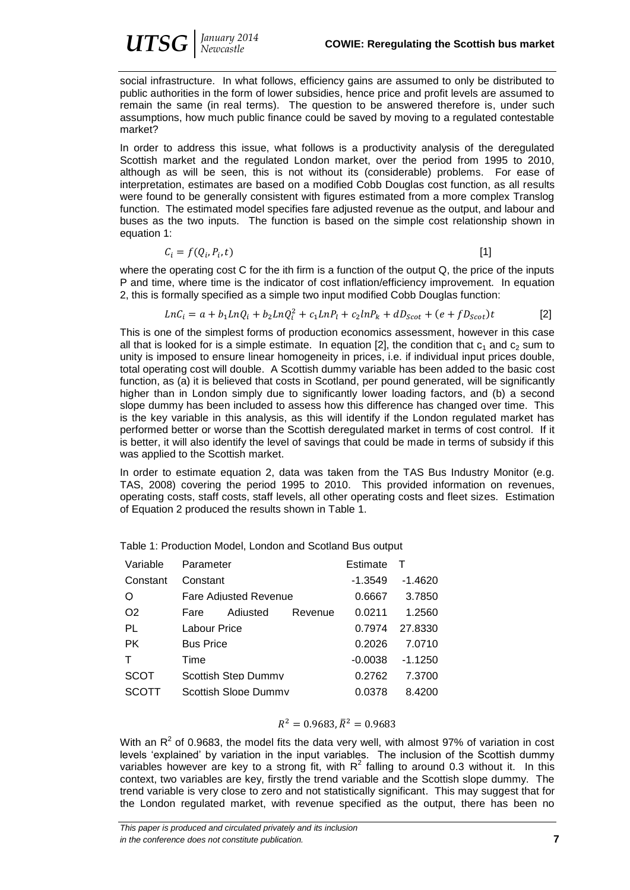*UTSG January 2014*

social infrastructure. In what follows, efficiency gains are assumed to only be distributed to public authorities in the form of lower subsidies, hence price and profit levels are assumed to remain the same (in real terms). The question to be answered therefore is, under such assumptions, how much public finance could be saved by moving to a regulated contestable market?

In order to address this issue, what follows is a productivity analysis of the deregulated Scottish market and the regulated London market, over the period from 1995 to 2010, although as will be seen, this is not without its (considerable) problems. For ease of interpretation, estimates are based on a modified Cobb Douglas cost function, as all results were found to be generally consistent with figures estimated from a more complex Translog function. The estimated model specifies fare adjusted revenue as the output, and labour and buses as the two inputs. The function is based on the simple cost relationship shown in equation 1:

$$
C_i = f(Q_i, P_i, t) \tag{1}
$$

where the operating cost C for the ith firm is a function of the output Q, the price of the inputs P and time, where time is the indicator of cost inflation/efficiency improvement. In equation 2, this is formally specified as a simple two input modified Cobb Douglas function:

$$
LnC_i = a + b_1 LnQ_i + b_2 LnQ_i^2 + c_1 LnP_l + c_2 lnP_k + dD_{scot} + (e + fD_{scot})t
$$
 [2]

This is one of the simplest forms of production economics assessment, however in this case all that is looked for is a simple estimate. In equation [2], the condition that  $c_1$  and  $c_2$  sum to unity is imposed to ensure linear homogeneity in prices, i.e. if individual input prices double, total operating cost will double. A Scottish dummy variable has been added to the basic cost function, as (a) it is believed that costs in Scotland, per pound generated, will be significantly higher than in London simply due to significantly lower loading factors, and (b) a second slope dummy has been included to assess how this difference has changed over time. This is the key variable in this analysis, as this will identify if the London regulated market has performed better or worse than the Scottish deregulated market in terms of cost control. If it is better, it will also identify the level of savings that could be made in terms of subsidy if this was applied to the Scottish market.

In order to estimate equation 2, data was taken from the TAS Bus Industry Monitor (e.g. TAS, 2008) covering the period 1995 to 2010. This provided information on revenues, operating costs, staff costs, staff levels, all other operating costs and fleet sizes. Estimation of Equation 2 produced the results shown in Table 1.

| Variable       | Parameter        |                              | Estimate  |           |        |
|----------------|------------------|------------------------------|-----------|-----------|--------|
| Constant       | Constant         |                              | $-1.3549$ | $-1.4620$ |        |
| Q              |                  | <b>Fare Adiusted Revenue</b> | 0.6667    | 3.7850    |        |
| Q <sub>2</sub> | Fare             | Adiusted                     | Revenue   | 0.0211    | 1.2560 |
| PL             | Labour Price     |                              | 0.7974    | 27.8330   |        |
| <b>PK</b>      | <b>Bus Price</b> |                              | 0.2026    | 7.0710    |        |
| T              | Time             |                              | $-0.0038$ | $-1.1250$ |        |
| <b>SCOT</b>    |                  | Scottish Step Dummy          | 0.2762    | 7.3700    |        |
| <b>SCOTT</b>   |                  | Scottish Slope Dummy         | 0.0378    | 8.4200    |        |
|                |                  |                              |           |           |        |

Table 1: Production Model, London and Scotland Bus output

#### $R^2$

With an  $R^2$  of 0.9683, the model fits the data very well, with almost 97% of variation in cost levels 'explained' by variation in the input variables. The inclusion of the Scottish dummy variables however are key to a strong fit, with  $R^2$  falling to around 0.3 without it. In this context, two variables are key, firstly the trend variable and the Scottish slope dummy. The trend variable is very close to zero and not statistically significant. This may suggest that for the London regulated market, with revenue specified as the output, there has been no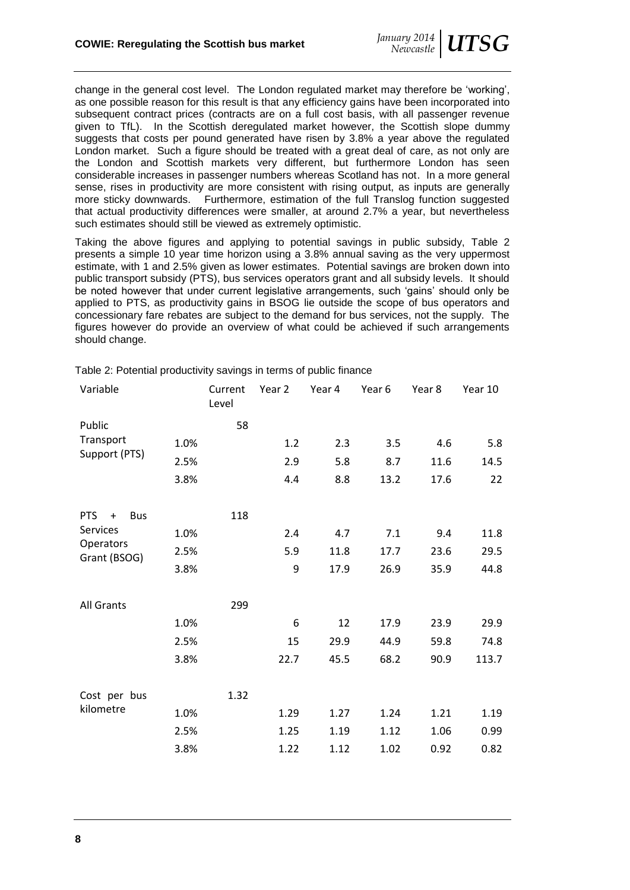change in the general cost level. The London regulated market may therefore be 'working', as one possible reason for this result is that any efficiency gains have been incorporated into subsequent contract prices (contracts are on a full cost basis, with all passenger revenue given to TfL). In the Scottish deregulated market however, the Scottish slope dummy suggests that costs per pound generated have risen by 3.8% a year above the regulated London market. Such a figure should be treated with a great deal of care, as not only are the London and Scottish markets very different, but furthermore London has seen considerable increases in passenger numbers whereas Scotland has not. In a more general sense, rises in productivity are more consistent with rising output, as inputs are generally more sticky downwards. Furthermore, estimation of the full Translog function suggested that actual productivity differences were smaller, at around 2.7% a year, but nevertheless such estimates should still be viewed as extremely optimistic.

Taking the above figures and applying to potential savings in public subsidy, Table 2 presents a simple 10 year time horizon using a 3.8% annual saving as the very uppermost estimate, with 1 and 2.5% given as lower estimates. Potential savings are broken down into public transport subsidy (PTS), bus services operators grant and all subsidy levels. It should be noted however that under current legislative arrangements, such 'gains' should only be applied to PTS, as productivity gains in BSOG lie outside the scope of bus operators and concessionary fare rebates are subject to the demand for bus services, not the supply. The figures however do provide an overview of what could be achieved if such arrangements should change.

| Variable                              |      | Current<br>Level | Year 2 | Year 4 | Year 6 | Year 8 | Year 10 |
|---------------------------------------|------|------------------|--------|--------|--------|--------|---------|
| Public                                |      | 58               |        |        |        |        |         |
| Transport                             | 1.0% |                  | 1.2    | 2.3    | 3.5    | 4.6    | 5.8     |
| Support (PTS)                         | 2.5% |                  | 2.9    | 5.8    | 8.7    | 11.6   | 14.5    |
|                                       | 3.8% |                  | 4.4    | 8.8    | 13.2   | 17.6   | 22      |
| <b>Bus</b><br><b>PTS</b><br>$\ddot{}$ |      | 118              |        |        |        |        |         |
| <b>Services</b>                       | 1.0% |                  | 2.4    | 4.7    | 7.1    | 9.4    | 11.8    |
| Operators<br>Grant (BSOG)             | 2.5% |                  | 5.9    | 11.8   | 17.7   | 23.6   | 29.5    |
|                                       | 3.8% |                  | 9      | 17.9   | 26.9   | 35.9   | 44.8    |
| <b>All Grants</b>                     |      | 299              |        |        |        |        |         |
|                                       | 1.0% |                  | 6      | 12     | 17.9   | 23.9   | 29.9    |
|                                       | 2.5% |                  | 15     | 29.9   | 44.9   | 59.8   | 74.8    |
|                                       | 3.8% |                  | 22.7   | 45.5   | 68.2   | 90.9   | 113.7   |
| Cost per bus                          |      | 1.32             |        |        |        |        |         |
| kilometre                             | 1.0% |                  | 1.29   | 1.27   | 1.24   | 1.21   | 1.19    |
|                                       | 2.5% |                  | 1.25   | 1.19   | 1.12   | 1.06   | 0.99    |
|                                       | 3.8% |                  | 1.22   | 1.12   | 1.02   | 0.92   | 0.82    |

Table 2: Potential productivity savings in terms of public finance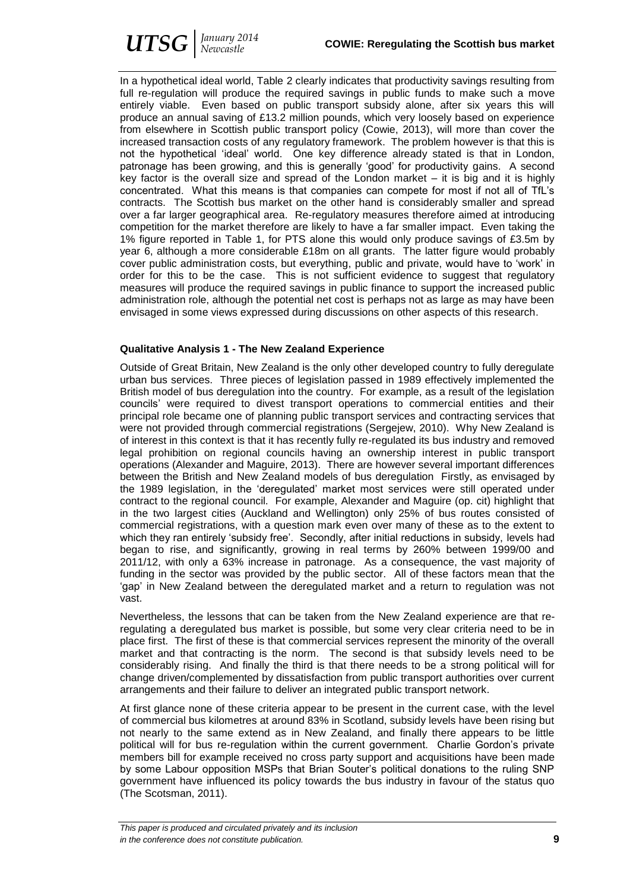In a hypothetical ideal world, Table 2 clearly indicates that productivity savings resulting from full re-regulation will produce the required savings in public funds to make such a move entirely viable. Even based on public transport subsidy alone, after six years this will produce an annual saving of £13.2 million pounds, which very loosely based on experience from elsewhere in Scottish public transport policy (Cowie, 2013), will more than cover the increased transaction costs of any regulatory framework. The problem however is that this is not the hypothetical 'ideal' world. One key difference already stated is that in London, patronage has been growing, and this is generally 'good' for productivity gains. A second key factor is the overall size and spread of the London market – it is big and it is highly concentrated. What this means is that companies can compete for most if not all of TfL's contracts. The Scottish bus market on the other hand is considerably smaller and spread over a far larger geographical area. Re-regulatory measures therefore aimed at introducing competition for the market therefore are likely to have a far smaller impact. Even taking the 1% figure reported in Table 1, for PTS alone this would only produce savings of £3.5m by year 6, although a more considerable £18m on all grants. The latter figure would probably cover public administration costs, but everything, public and private, would have to 'work' in order for this to be the case. This is not sufficient evidence to suggest that regulatory measures will produce the required savings in public finance to support the increased public administration role, although the potential net cost is perhaps not as large as may have been envisaged in some views expressed during discussions on other aspects of this research.

## **Qualitative Analysis 1 - The New Zealand Experience**

Outside of Great Britain, New Zealand is the only other developed country to fully deregulate urban bus services. Three pieces of legislation passed in 1989 effectively implemented the British model of bus deregulation into the country. For example, as a result of the legislation councils' were required to divest transport operations to commercial entities and their principal role became one of planning public transport services and contracting services that were not provided through commercial registrations (Sergejew, 2010). Why New Zealand is of interest in this context is that it has recently fully re-regulated its bus industry and removed legal prohibition on regional councils having an ownership interest in public transport operations (Alexander and Maguire, 2013). There are however several important differences between the British and New Zealand models of bus deregulation Firstly, as envisaged by the 1989 legislation, in the 'deregulated' market most services were still operated under contract to the regional council. For example, Alexander and Maguire (op. cit) highlight that in the two largest cities (Auckland and Wellington) only 25% of bus routes consisted of commercial registrations, with a question mark even over many of these as to the extent to which they ran entirely 'subsidy free'. Secondly, after initial reductions in subsidy, levels had began to rise, and significantly, growing in real terms by 260% between 1999/00 and 2011/12, with only a 63% increase in patronage. As a consequence, the vast majority of funding in the sector was provided by the public sector. All of these factors mean that the 'gap' in New Zealand between the deregulated market and a return to regulation was not vast.

Nevertheless, the lessons that can be taken from the New Zealand experience are that reregulating a deregulated bus market is possible, but some very clear criteria need to be in place first. The first of these is that commercial services represent the minority of the overall market and that contracting is the norm. The second is that subsidy levels need to be considerably rising. And finally the third is that there needs to be a strong political will for change driven/complemented by dissatisfaction from public transport authorities over current arrangements and their failure to deliver an integrated public transport network.

At first glance none of these criteria appear to be present in the current case, with the level of commercial bus kilometres at around 83% in Scotland, subsidy levels have been rising but not nearly to the same extend as in New Zealand, and finally there appears to be little political will for bus re-regulation within the current government. Charlie Gordon's private members bill for example received no cross party support and acquisitions have been made by some Labour opposition MSPs that Brian Souter's political donations to the ruling SNP government have influenced its policy towards the bus industry in favour of the status quo (The Scotsman, 2011).

*This paper is produced and circulated privately and its inclusion in the conference does not constitute publication.* **9**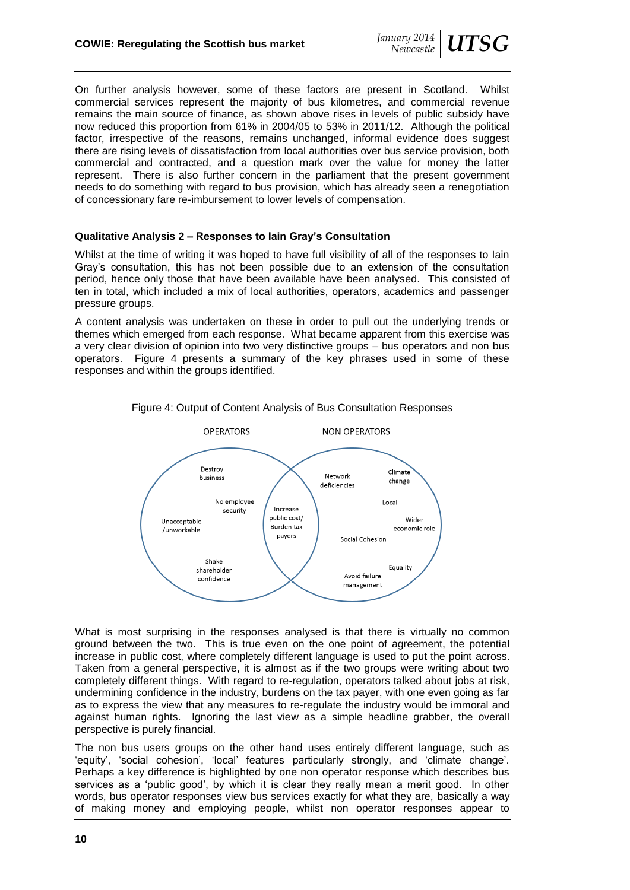On further analysis however, some of these factors are present in Scotland. Whilst commercial services represent the majority of bus kilometres, and commercial revenue remains the main source of finance, as shown above rises in levels of public subsidy have now reduced this proportion from 61% in 2004/05 to 53% in 2011/12. Although the political factor, irrespective of the reasons, remains unchanged, informal evidence does suggest there are rising levels of dissatisfaction from local authorities over bus service provision, both commercial and contracted, and a question mark over the value for money the latter represent. There is also further concern in the parliament that the present government needs to do something with regard to bus provision, which has already seen a renegotiation of concessionary fare re-imbursement to lower levels of compensation.

## **Qualitative Analysis 2 – Responses to Iain Gray's Consultation**

Whilst at the time of writing it was hoped to have full visibility of all of the responses to Iain Gray's consultation, this has not been possible due to an extension of the consultation period, hence only those that have been available have been analysed. This consisted of ten in total, which included a mix of local authorities, operators, academics and passenger pressure groups.

A content analysis was undertaken on these in order to pull out the underlying trends or themes which emerged from each response. What became apparent from this exercise was a very clear division of opinion into two very distinctive groups – bus operators and non bus operators. Figure 4 presents a summary of the key phrases used in some of these responses and within the groups identified.



Figure 4: Output of Content Analysis of Bus Consultation Responses

What is most surprising in the responses analysed is that there is virtually no common ground between the two. This is true even on the one point of agreement, the potential increase in public cost, where completely different language is used to put the point across. Taken from a general perspective, it is almost as if the two groups were writing about two completely different things. With regard to re-regulation, operators talked about jobs at risk, undermining confidence in the industry, burdens on the tax payer, with one even going as far as to express the view that any measures to re-regulate the industry would be immoral and against human rights. Ignoring the last view as a simple headline grabber, the overall perspective is purely financial.

The non bus users groups on the other hand uses entirely different language, such as 'equity', 'social cohesion', 'local' features particularly strongly, and 'climate change'. Perhaps a key difference is highlighted by one non operator response which describes bus services as a 'public good', by which it is clear they really mean a merit good. In other words, bus operator responses view bus services exactly for what they are, basically a way of making money and employing people, whilst non operator responses appear to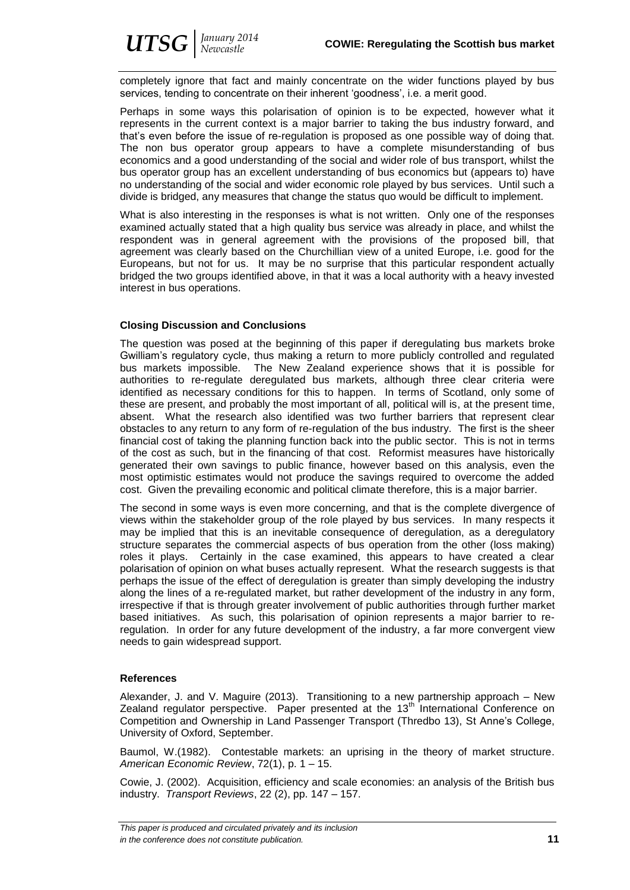*UTSG January 2014*

completely ignore that fact and mainly concentrate on the wider functions played by bus services, tending to concentrate on their inherent 'goodness', i.e. a merit good.

Perhaps in some ways this polarisation of opinion is to be expected, however what it represents in the current context is a major barrier to taking the bus industry forward, and that's even before the issue of re-regulation is proposed as one possible way of doing that. The non bus operator group appears to have a complete misunderstanding of bus economics and a good understanding of the social and wider role of bus transport, whilst the bus operator group has an excellent understanding of bus economics but (appears to) have no understanding of the social and wider economic role played by bus services. Until such a divide is bridged, any measures that change the status quo would be difficult to implement.

What is also interesting in the responses is what is not written. Only one of the responses examined actually stated that a high quality bus service was already in place, and whilst the respondent was in general agreement with the provisions of the proposed bill, that agreement was clearly based on the Churchillian view of a united Europe, i.e. good for the Europeans, but not for us. It may be no surprise that this particular respondent actually bridged the two groups identified above, in that it was a local authority with a heavy invested interest in bus operations.

# **Closing Discussion and Conclusions**

The question was posed at the beginning of this paper if deregulating bus markets broke Gwilliam's regulatory cycle, thus making a return to more publicly controlled and regulated bus markets impossible. The New Zealand experience shows that it is possible for authorities to re-regulate deregulated bus markets, although three clear criteria were identified as necessary conditions for this to happen. In terms of Scotland, only some of these are present, and probably the most important of all, political will is, at the present time, absent. What the research also identified was two further barriers that represent clear obstacles to any return to any form of re-regulation of the bus industry. The first is the sheer financial cost of taking the planning function back into the public sector. This is not in terms of the cost as such, but in the financing of that cost. Reformist measures have historically generated their own savings to public finance, however based on this analysis, even the most optimistic estimates would not produce the savings required to overcome the added cost. Given the prevailing economic and political climate therefore, this is a major barrier.

The second in some ways is even more concerning, and that is the complete divergence of views within the stakeholder group of the role played by bus services. In many respects it may be implied that this is an inevitable consequence of deregulation, as a deregulatory structure separates the commercial aspects of bus operation from the other (loss making) roles it plays. Certainly in the case examined, this appears to have created a clear polarisation of opinion on what buses actually represent. What the research suggests is that perhaps the issue of the effect of deregulation is greater than simply developing the industry along the lines of a re-regulated market, but rather development of the industry in any form, irrespective if that is through greater involvement of public authorities through further market based initiatives. As such, this polarisation of opinion represents a major barrier to reregulation. In order for any future development of the industry, a far more convergent view needs to gain widespread support.

# **References**

Alexander, J. and V. Maguire (2013). Transitioning to a new partnership approach – New Zealand regulator perspective. Paper presented at the 13<sup>th</sup> International Conference on Competition and Ownership in Land Passenger Transport (Thredbo 13), St Anne's College, University of Oxford, September.

Baumol, W.(1982). Contestable markets: an uprising in the theory of market structure. *American Economic Review*, 72(1), p. 1 – 15.

Cowie, J. (2002). Acquisition, efficiency and scale economies: an analysis of the British bus industry. *Transport Reviews*, 22 (2), pp. 147 – 157.